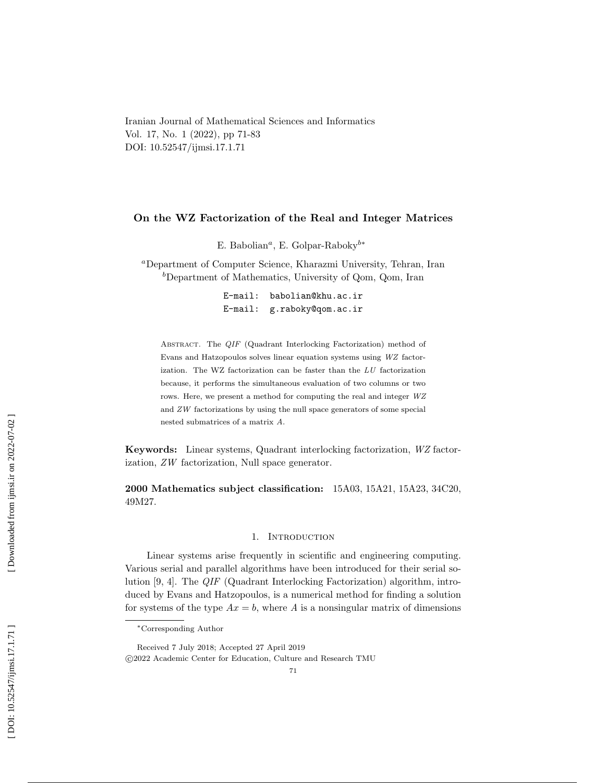Iranian Journal of Mathematical Sciences and Informatics Vol. 17, No. 1 (2022), pp 71-83 DOI: 10.52547/ijmsi.17.1.71

# On the WZ Factorization of the Real and Integer Matrices

E. Babolian<sup>*a*</sup>, E. Golpar-Raboky<sup>b\*</sup>

<sup>a</sup>Department of Computer Science, Kharazmi University, Tehran, Iran <sup>b</sup>Department of Mathematics, University of Qom, Qom, Iran

> E-mail: babolian@khu.ac.ir E-mail: g.raboky@qom.ac.ir

ABSTRACT. The QIF (Quadrant Interlocking Factorization) method of Evans and Hatzopoulos solves linear equation systems using WZ factorization. The WZ factorization can be faster than the  $LU$  factorization because, it performs the simultaneous evaluation of two columns or two rows. Here, we present a method for computing the real and integer WZ and ZW factorizations by using the null space generators of some special nested submatrices of a matrix A .

Keywords: Linear systems, Quadrant interlocking factorization, WZ factorization, ZW factorization, Null space generator.

2000 Mathematics subject classification: 15A03, 15A21, 15A23, 34C20, 49M27.

### 1. INTRODUCTION

Linear systems arise frequently in scientific and engineering computing. Various serial and parallel algorithms have been introduced for their serial solution [9, 4]. The QIF (Quadrant Interlocking Factorization) algorithm, introduced by Evans and Hatzopoulos, is a numerical method for finding a solution for systems of the type  $Ax = b$ , where A is a nonsingular matrix of dimensions

[Downloaded from ijmsi.ir on 2022-07-02]

<sup>∗</sup>Corresponding Author

Received 7 July 2018; Accepted 27 April 2019 c 2022 Academic Center for Education, Culture and Research TMU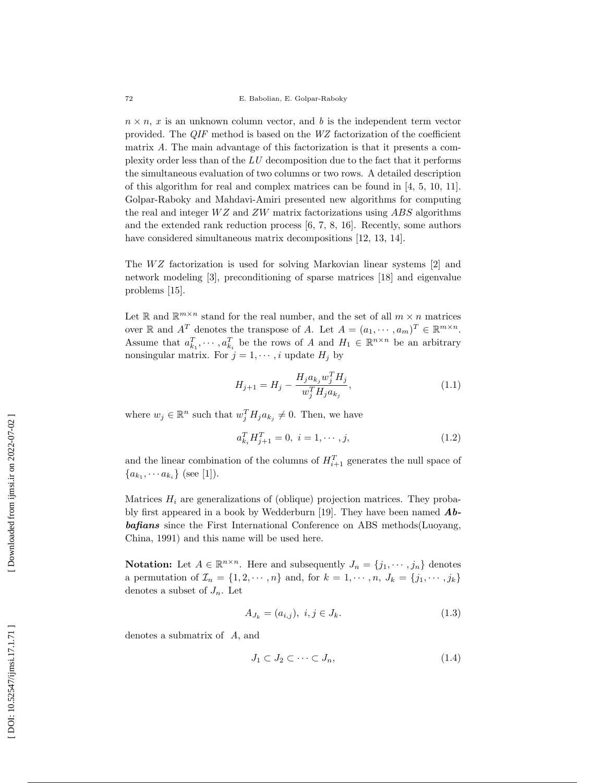$n \times n$ , x is an unknown column vector, and b is the independent term vector provided. The QIF method is based on the WZ factorization of the coefficient matrix A. The main advantage of this factorization is that it presents a complexity order less than of the LU decomposition due to the fact that it performs the simultaneous evaluation of two columns or two rows. A detailed description of this algorithm for real and complex matrices can be found in [4, 5, 10, 11]. Golpar-Raboky and Mahdavi-Amiri presented new algorithms for computing the real and integer  $WZ$  and  $ZW$  matrix factorizations using  $ABS$  algorithms and the extended rank reduction process [6, 7, 8, 16]. Recently, some authors have considered simultaneous matrix decompositions [12, 13, 14].

The  $WZ$  factorization is used for solving Markovian linear systems [2] and network modeling [3], preconditioning of sparse matrices [18] and eigenvalue problems [15].

Let R and  $\mathbb{R}^{m \times n}$  stand for the real number, and the set of all  $m \times n$  matrices over  $\mathbb{R}$  and  $A^T$  denotes the transpose of A. Let  $A = (a_1, \dots, a_m)^T \in \mathbb{R}^{m \times n}$ . Assume that  $a_{k_1}^T, \dots, a_{k_i}^T$  be the rows of A and  $H_1 \in \mathbb{R}^{n \times n}$  be an arbitrary nonsingular matrix. For  $j = 1, \dots, i$  update  $H_j$  by

$$
H_{j+1} = H_j - \frac{H_j a_{k_j} w_j^T H_j}{w_j^T H_j a_{k_j}},
$$
\n(1.1)

where  $w_j \in \mathbb{R}^n$  such that  $w_j^T H_j a_{k_j} \neq 0$ . Then, we have

$$
a_{k_i}^T H_{j+1}^T = 0, \ i = 1, \cdots, j,
$$
\n(1.2)

and the linear combination of the columns of  $H_{i+1}^T$  generates the null space of  ${a_{k_1}, \dots a_{k_i}}$  (see [1]).

Matrices  $H_i$  are generalizations of (oblique) projection matrices. They probably first appeared in a book by Wedderburn [19]. They have been named  $Ab$ bafians since the First International Conference on ABS methods(Luoyang, China, 1991) and this name will be used here.

**Notation:** Let  $A \in \mathbb{R}^{n \times n}$ . Here and subsequently  $J_n = \{j_1, \dots, j_n\}$  denotes a permutation of  $\mathcal{I}_n = \{1, 2, \dots, n\}$  and, for  $k = 1, \dots, n$ ,  $J_k = \{j_1, \dots, j_k\}$ denotes a subset of  $J_n$ . Let

$$
A_{J_k} = (a_{i,j}), \ i, j \in J_k. \tag{1.3}
$$

denotes a submatrix of A, and

$$
J_1 \subset J_2 \subset \cdots \subset J_n,\tag{1.4}
$$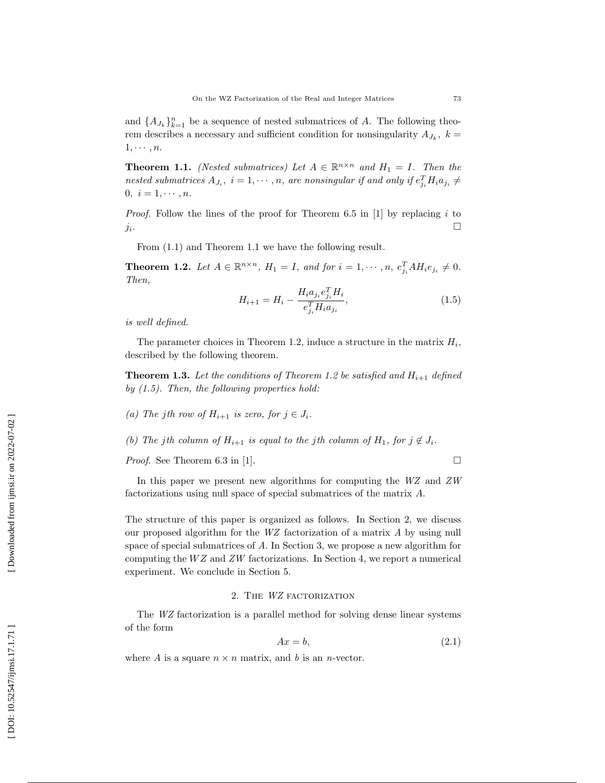and  $\{A_{J_k}\}_{k=1}^n$  be a sequence of nested submatrices of A. The following theorem describes a necessary and sufficient condition for nonsingularity  $A_{J_k}$ ,  $k =$  $1, \cdots, n$ .

**Theorem 1.1.** (Nested submatrices) Let  $A \in \mathbb{R}^{n \times n}$  and  $H_1 = I$ . Then the nested submatrices  $A_{J_i}$ ,  $i = 1, \dots, n$ , are nonsingular if and only if  $e_{j_i}^T H_i a_{j_i} \neq$  $0, i = 1, \cdots, n.$ 

*Proof.* Follow the lines of the proof for Theorem 6.5 in [1] by replacing  $i$  to  $j_i$ .  $\Box$ 

From (1.1) and Theorem 1.1 we have the following result.

**Theorem 1.2.** Let  $A \in \mathbb{R}^{n \times n}$ ,  $H_1 = I$ , and for  $i = 1, \dots, n$ ,  $e_{j_i}^T A H_i e_{j_i} \neq 0$ . Then,

$$
H_{i+1} = H_i - \frac{H_i a_{j_i} e_{j_i}^T H_i}{e_{j_i}^T H_i a_{j_i}},
$$
\n(1.5)

is well defined.

The parameter choices in Theorem 1.2, induce a structure in the matrix  $H_i$ , described by the following theorem.

**Theorem 1.3.** Let the conditions of Theorem 1.2 be satisfied and  $H_{i+1}$  defined by  $(1.5)$ . Then, the following properties hold:

(a) The jth row of  $H_{i+1}$  is zero, for  $j \in J_i$ .

(b) The jth column of  $H_{i+1}$  is equal to the jth column of  $H_1$ , for  $j \notin J_i$ .

Proof. See Theorem 6.3 in [1].

 $\Box$ 

In this paper we present new algorithms for computing the  $WZ$  and  $ZW$ factorizations using null space of special submatrices of the matrix A.

The structure of this paper is organized as follows. In Section 2, we discuss our proposed algorithm for the WZ factorization of a matrix A by using null space of special submatrices of A. In Section 3, we propose a new algorithm for computing the  $WZ$  and  $ZW$  factorizations. In Section 4, we report a numerical experiment. We conclude in Section 5.

### 2. The WZ factorization

The WZ factorization is a parallel method for solving dense linear systems of the form

$$
Ax = b,\tag{2.1}
$$

where A is a square  $n \times n$  matrix, and b is an n-vector.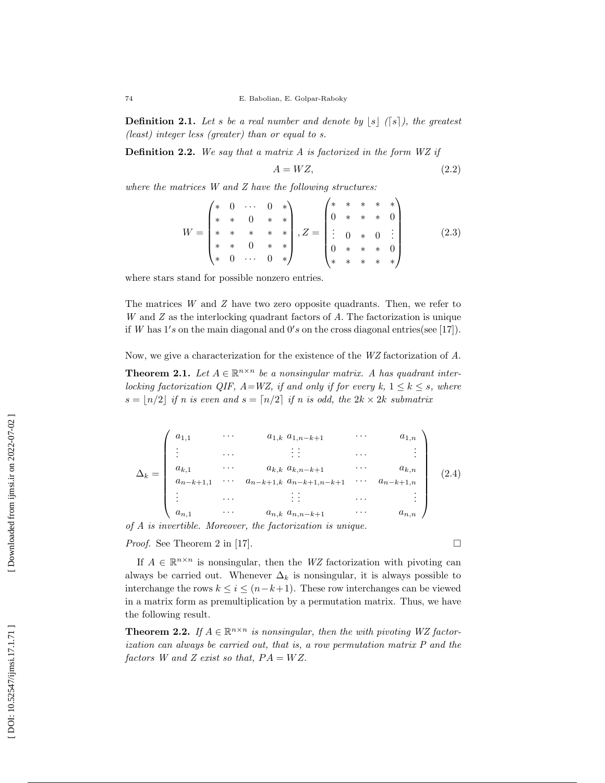**Definition 2.1.** Let s be a real number and denote by  $|s|$  ([s]), the greatest (least) integer less (greater) than or equal to s.

**Definition 2.2.** We say that a matrix  $A$  is factorized in the form  $WZ$  if

$$
A = WZ,\t\t(2.2)
$$

 $\Box$ 

where the matrices W and Z have the following structures:

$$
W = \begin{pmatrix} * & 0 & \cdots & 0 & * \\ * & * & 0 & * & * \\ * & * & * & * & * \\ * & * & 0 & * & * \\ * & 0 & \cdots & 0 & * \end{pmatrix}, Z = \begin{pmatrix} * & * & * & * & * \\ 0 & * & * & * & 0 \\ \vdots & 0 & * & 0 & \vdots \\ 0 & * & * & * & 0 \\ * & * & * & * & * \end{pmatrix} \tag{2.3}
$$

where stars stand for possible nonzero entries.

The matrices W and Z have two zero opposite quadrants. Then, we refer to W and Z as the interlocking quadrant factors of A. The factorization is unique if W has  $1's$  on the main diagonal and  $0's$  on the cross diagonal entries(see [17]).

Now, we give a characterization for the existence of the WZ factorization of A.

**Theorem 2.1.** Let  $A \in \mathbb{R}^{n \times n}$  be a nonsingular matrix. A has quadrant interlocking factorization QIF,  $A=WZ$ , if and only if for every k,  $1 \leq k \leq s$ , where  $s = |n/2|$  if n is even and  $s = \lfloor n/2 \rfloor$  if n is odd, the  $2k \times 2k$  submatrix

$$
\Delta_{k} = \begin{pmatrix}\na_{1,1} & \cdots & a_{1,k} & a_{1,n-k+1} & \cdots & a_{1,n} \\
\vdots & \cdots & \vdots & \ddots & \vdots \\
a_{k,1} & \cdots & a_{k,k} & a_{k,n-k+1} & \cdots & a_{k,n} \\
a_{n-k+1,1} & \cdots & a_{n-k+1,k} & a_{n-k+1,n-k+1} & \cdots & a_{n-k+1,n} \\
\vdots & \cdots & \vdots & \vdots & \cdots & \vdots \\
a_{n,1} & \cdots & a_{n,k} & a_{n,n-k+1} & \cdots & a_{n,n}\n\end{pmatrix}
$$
\n(2.4)

of A is invertible. Moreover, the factorization is unique.

Proof. See Theorem 2 in [17].

If  $A \in \mathbb{R}^{n \times n}$  is nonsingular, then the WZ factorization with pivoting can always be carried out. Whenever  $\Delta_k$  is nonsingular, it is always possible to interchange the rows  $k \leq i \leq (n-k+1)$ . These row interchanges can be viewed in a matrix form as premultiplication by a permutation matrix. Thus, we have the following result.

**Theorem 2.2.** If  $A \in \mathbb{R}^{n \times n}$  is nonsingular, then the with pivoting WZ factorization can always be carried out, that is, a row permutation matrix P and the factors W and Z exist so that,  $PA = WZ$ .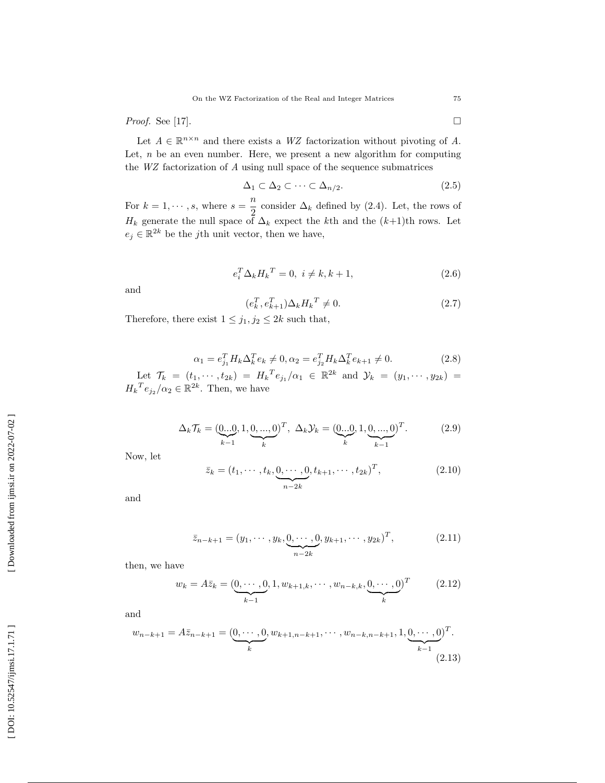Proof. See [17].

 $\Box$ 

Let  $A \in \mathbb{R}^{n \times n}$  and there exists a WZ factorization without pivoting of A. Let, *n* be an even number. Here, we present a new algorithm for computing the WZ factorization of A using null space of the sequence submatrices

$$
\Delta_1 \subset \Delta_2 \subset \cdots \subset \Delta_{n/2}.\tag{2.5}
$$

For  $k = 1, \dots, s$ , where  $s = \frac{n}{2}$ consider  $\Delta_k$  defined by (2.4). Let, the rows of  $H_k$  generate the null space of  $\Delta_k$  expect the k<sup>th</sup> and the  $(k+1)$ <sup>th</sup> rows. Let  $e_j \in \mathbb{R}^{2k}$  be the *j*th unit vector, then we have,

$$
e_i^T \Delta_k H_k^T = 0, \ i \neq k, k+1,
$$
\n(2.6)

and

$$
(e_k^T, e_{k+1}^T) \Delta_k H_k^T \neq 0. \tag{2.7}
$$

Therefore, there exist  $1 \leq j_1, j_2 \leq 2k$  such that,

$$
\alpha_1 = e_{j_1}^T H_k \Delta_k^T e_k \neq 0, \alpha_2 = e_{j_2}^T H_k \Delta_k^T e_{k+1} \neq 0.
$$
 (2.8)

Let  $\mathcal{T}_k = (t_1, \dots, t_{2k}) = H_k^T e_{j_1} / \alpha_1 \in \mathbb{R}^{2k}$  and  $\mathcal{Y}_k = (y_1, \dots, y_{2k}) =$  $H_k^T e_{j_2}/\alpha_2 \in \mathbb{R}^{2k}$ . Then, we have

$$
\Delta_k \mathcal{T}_k = (\underbrace{0...0}_{k-1}, 1, \underbrace{0,...,0}_{k})^T, \ \Delta_k \mathcal{Y}_k = (\underbrace{0...0}_{k}, 1, \underbrace{0,...,0}_{k-1})^T. \tag{2.9}
$$

Now, let

$$
\bar{z}_k = (t_1, \cdots, t_k, \underbrace{0, \cdots, 0}_{n-2k}, t_{k+1}, \cdots, t_{2k})^T, \tag{2.10}
$$

and

$$
\bar{z}_{n-k+1} = (y_1, \cdots, y_k, \underbrace{0, \cdots, 0}_{n-2k}, y_{k+1}, \cdots, y_{2k})^T, \qquad (2.11)
$$

then, we have

$$
w_k = A\bar{z}_k = (\underbrace{0, \cdots, 0}_{k-1}, 1, w_{k+1,k}, \cdots, w_{n-k,k}, \underbrace{0, \cdots, 0}_{k})^T
$$
 (2.12)

and

$$
w_{n-k+1} = A\bar{z}_{n-k+1} = (\underbrace{0, \cdots, 0}_{k}, w_{k+1,n-k+1}, \cdots, w_{n-k,n-k+1}, 1, \underbrace{0, \cdots, 0}_{k-1})^T.
$$
\n(2.13)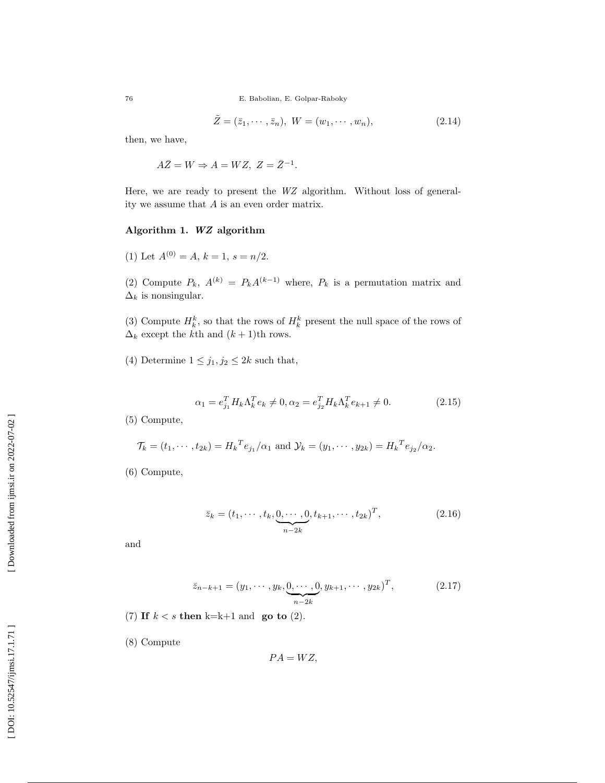76 E. Babolian, E. Golpar-Raboky

$$
\tilde{Z} = (\bar{z}_1, \cdots, \bar{z}_n), \ W = (w_1, \cdots, w_n), \tag{2.14}
$$

then, we have,

 $A\overline{Z} = W \Rightarrow A = WZ, Z = \overline{Z}^{-1}.$ 

Here, we are ready to present the WZ algorithm. Without loss of generality we assume that A is an even order matrix.

# Algorithm 1. WZ algorithm

(1) Let  $A^{(0)} = A$ ,  $k = 1$ ,  $s = n/2$ .

(2) Compute  $P_k$ ,  $A^{(k)} = P_k A^{(k-1)}$  where,  $P_k$  is a permutation matrix and  $\Delta_k$  is nonsingular.

(3) Compute  $H_k^k$ , so that the rows of  $H_k^k$  present the null space of the rows of  $\Delta_k$  except the k<sup>th</sup> and  $(k+1)$ <sup>th</sup> rows.

(4) Determine  $1 \leq j_1, j_2 \leq 2k$  such that,

$$
\alpha_1 = e_{j_1}^T H_k \Lambda_k^T e_k \neq 0, \alpha_2 = e_{j_2}^T H_k \Lambda_k^T e_{k+1} \neq 0.
$$
 (2.15)

(5) Compute,

$$
\mathcal{T}_k = (t_1, \dots, t_{2k}) = H_k^T e_{j_1} / \alpha_1 \text{ and } \mathcal{Y}_k = (y_1, \dots, y_{2k}) = H_k^T e_{j_2} / \alpha_2.
$$

(6) Compute,

$$
\bar{z}_k = (t_1, \cdots, t_k, \underbrace{0, \cdots, 0}_{n-2k}, t_{k+1}, \cdots, t_{2k})^T, \tag{2.16}
$$

and

$$
\bar{z}_{n-k+1} = (y_1, \cdots, y_k, \underbrace{0, \cdots, 0}_{n-2k}, y_{k+1}, \cdots, y_{2k})^T, \qquad (2.17)
$$

(7) If  $k < s$  then k=k+1 and go to (2).

(8) Compute

$$
PA = WZ,
$$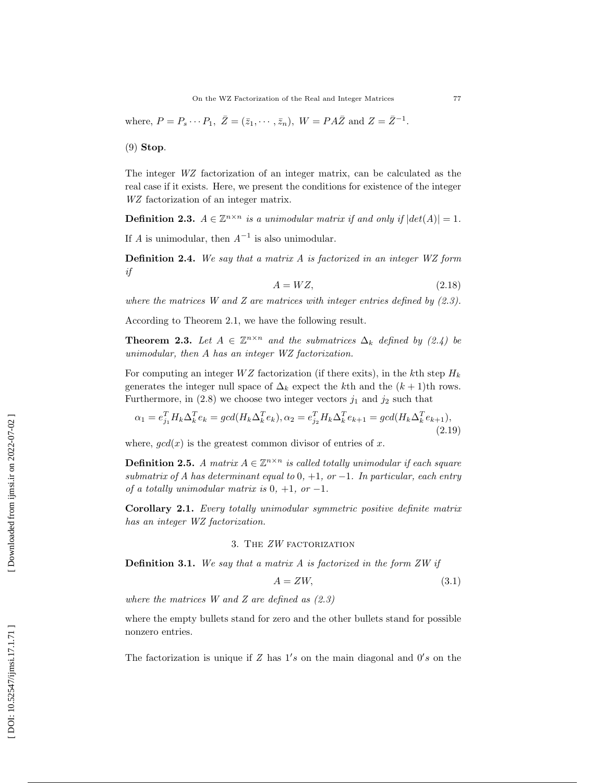where,  $P = P_s \cdots P_1$ ,  $\bar{Z} = (\bar{z}_1, \cdots, \bar{z}_n)$ ,  $W = PA\bar{Z}$  and  $Z = \bar{Z}^{-1}$ .

(9) Stop .

The integer WZ factorization of an integer matrix, can be calculated as the real case if it exists. Here, we present the conditions for existence of the integer WZ factorization of an integer matrix.

**Definition 2.3.**  $A \in \mathbb{Z}^{n \times n}$  is a unimodular matrix if and only if  $|det(A)| = 1$ .

If A is unimodular, then  $A^{-1}$  is also unimodular.

Definition 2.4. We say that a matrix A is factorized in an integer WZ form if

$$
A = WZ,\tag{2.18}
$$

where the matrices W and Z are matrices with integer entries defined by  $(2.3)$ .

According to Theorem 2.1, we have the following result.

**Theorem 2.3.** Let  $A \in \mathbb{Z}^{n \times n}$  and the submatrices  $\Delta_k$  defined by (2.4) be unimodular, then A has an integer WZ factorization.

For computing an integer  $WZ$  factorization (if there exits), in the k<sup>th</sup> step  $H_k$ generates the integer null space of  $\Delta_k$  expect the k<sup>th</sup> and the  $(k+1)$ <sup>th</sup> rows. Furthermore, in  $(2.8)$  we choose two integer vectors  $j_1$  and  $j_2$  such that

$$
\alpha_1 = e_{j_1}^T H_k \Delta_k^T e_k = \gcd(H_k \Delta_k^T e_k), \alpha_2 = e_{j_2}^T H_k \Delta_k^T e_{k+1} = \gcd(H_k \Delta_k^T e_{k+1}),
$$
\n(2.19)

where,  $gcd(x)$  is the greatest common divisor of entries of x.

**Definition 2.5.** A matrix  $A \in \mathbb{Z}^{n \times n}$  is called totally unimodular if each square submatrix of A has determinant equal to  $0, +1,$  or  $-1$ . In particular, each entry of a totally unimodular matrix is  $0, +1,$  or  $-1$ .

Corollary 2.1. Every totally unimodular symmetric positive definite matrix has an integer WZ factorization.

# 3. The ZW factorization

**Definition 3.1.** We say that a matrix  $A$  is factorized in the form  $ZW$  if

$$
A = ZW,\t\t(3.1)
$$

where the matrices  $W$  and  $Z$  are defined as  $(2.3)$ 

where the empty bullets stand for zero and the other bullets stand for possible nonzero entries.

The factorization is unique if  $Z$  has  $1's$  on the main diagonal and  $0's$  on the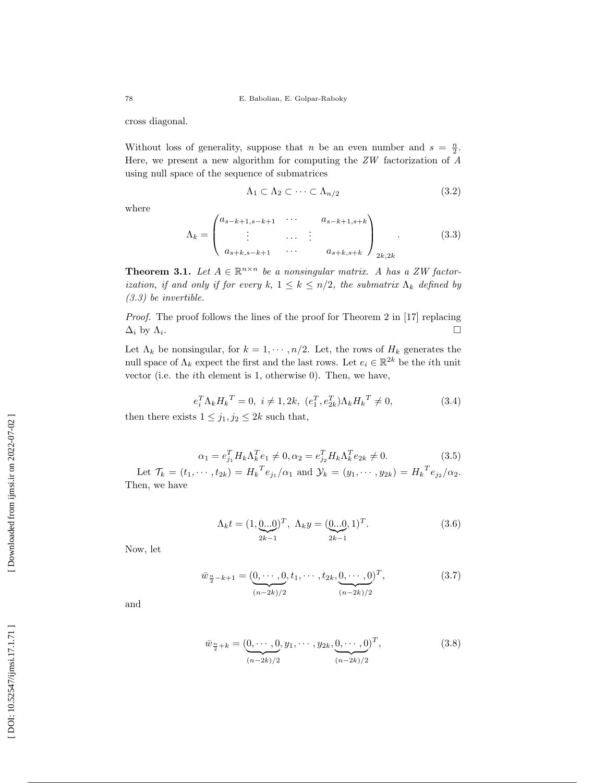cross diagonal.

Without loss of generality, suppose that *n* be an even number and  $s = \frac{n}{2}$ . Here, we present a new algorithm for computing the ZW factorization of A using null space of the sequence of submatrices

$$
\Lambda_1 \subset \Lambda_2 \subset \cdots \subset \Lambda_{n/2} \tag{3.2}
$$

where

$$
\Lambda_{k} = \begin{pmatrix} a_{s-k+1,s-k+1} & \cdots & a_{s-k+1,s+k} \\ \vdots & \cdots & \vdots \\ a_{s+k,s-k+1} & \cdots & a_{s+k,s+k} \end{pmatrix}_{2k,2k}.
$$
 (3.3)

**Theorem 3.1.** Let  $A \in \mathbb{R}^{n \times n}$  be a nonsingular matrix. A has a ZW factorization, if and only if for every k,  $1 \leq k \leq n/2$ , the submatrix  $\Lambda_k$  defined by (3.3) be invertible.

Proof. The proof follows the lines of the proof for Theorem 2 in [17] replacing  $\Delta_i$  by  $\Lambda_i$ .

Let  $\Lambda_k$  be nonsingular, for  $k = 1, \dots, n/2$ . Let, the rows of  $H_k$  generates the null space of  $\Lambda_k$  expect the first and the last rows. Let  $e_i \in \mathbb{R}^{2k}$  be the *i*<sup>th</sup> unit vector (i.e. the ith element is 1, otherwise 0). Then, we have,

$$
e_i^T \Lambda_k H_k^T = 0, \ i \neq 1, 2k, \ (e_1^T, e_{2k}^T) \Lambda_k H_k^T \neq 0,
$$
\n(3.4)

then there exists  $1 \leq j_1, j_2 \leq 2k$  such that,

$$
\alpha_1 = e_{j_1}^T H_k \Lambda_k^T e_1 \neq 0, \alpha_2 = e_{j_2}^T H_k \Lambda_k^T e_{2k} \neq 0.
$$
 (3.5)

Let  $\mathcal{T}_k = (t_1, \dots, t_{2k}) = H_k^T e_{j_1} / \alpha_1$  and  $\mathcal{Y}_k = (y_1, \dots, y_{2k}) = H_k^T e_{j_2} / \alpha_2$ . Then, we have

$$
\Lambda_k t = (1, \underbrace{0...0}_{2k-1})^T, \ \Lambda_k y = (\underbrace{0...0}_{2k-1}, 1)^T. \tag{3.6}
$$

Now, let

$$
\bar{w}_{\frac{n}{2}-k+1} = (\underbrace{0, \cdots, 0}_{(n-2k)/2}, t_1, \cdots, t_{2k}, \underbrace{0, \cdots, 0}_{(n-2k)/2})^T,
$$
\n(3.7)

and

$$
\bar{w}_{\frac{n}{2}+k} = (\underbrace{0, \cdots, 0}_{(n-2k)/2}, y_1, \cdots, y_{2k}, \underbrace{0, \cdots, 0}_{(n-2k)/2})^T,
$$
\n(3.8)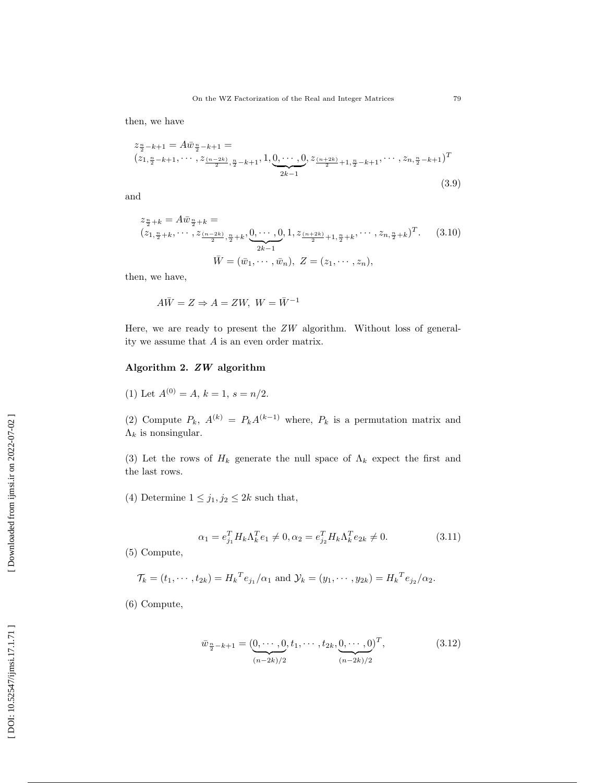then, we have

$$
z_{\frac{n}{2}-k+1} = A\bar{w}_{\frac{n}{2}-k+1} =
$$
  

$$
(z_{1,\frac{n}{2}-k+1}, \cdots, z_{\frac{(n-2k)}{2},\frac{n}{2}-k+1}, 1, \underbrace{0, \cdots, 0}_{2k-1}, z_{\frac{(n+2k)}{2}+1,\frac{n}{2}-k+1}, \cdots, z_{n,\frac{n}{2}-k+1})^T
$$
  

$$
(3.9)
$$

and

$$
z_{\frac{n}{2}+k} = A\bar{w}_{\frac{n}{2}+k} =
$$
  
\n
$$
(z_{1,\frac{n}{2}+k}, \cdots, z_{\frac{(n-2k)}{2},\frac{n}{2}+k}, \underbrace{0, \cdots, 0}_{2k-1}, 1, z_{\frac{(n+2k)}{2}+1,\frac{n}{2}+k}, \cdots, z_{n,\frac{n}{2}+k})^T.
$$
 (3.10)  
\n
$$
\bar{W} = (\bar{w}_1, \cdots, \bar{w}_n), Z = (z_1, \cdots, z_n),
$$

then, we have,

$$
A\bar{W} = Z \Rightarrow A = ZW, \ W = \bar{W}^{-1}
$$

Here, we are ready to present the ZW algorithm. Without loss of generality we assume that A is an even order matrix.

## Algorithm 2. ZW algorithm

(1) Let 
$$
A^{(0)} = A
$$
,  $k = 1$ ,  $s = n/2$ .

(2) Compute  $P_k$ ,  $A^{(k)} = P_k A^{(k-1)}$  where,  $P_k$  is a permutation matrix and  $\Lambda_k$  is nonsingular.

(3) Let the rows of  $H_k$  generate the null space of  $\Lambda_k$  expect the first and the last rows.

(4) Determine  $1 \leq j_1, j_2 \leq 2k$  such that,

$$
\alpha_1 = e_{j_1}^T H_k \Lambda_k^T e_1 \neq 0, \alpha_2 = e_{j_2}^T H_k \Lambda_k^T e_{2k} \neq 0.
$$
 (3.11)

(5) Compute,

$$
\mathcal{T}_k = (t_1, \cdots, t_{2k}) = H_k^T e_{j_1} / \alpha_1 \text{ and } \mathcal{Y}_k = (y_1, \cdots, y_{2k}) = H_k^T e_{j_2} / \alpha_2.
$$

(6) Compute,

$$
\bar{w}_{\frac{n}{2}-k+1} = (\underbrace{0, \cdots, 0}_{(n-2k)/2}, t_1, \cdots, t_{2k}, \underbrace{0, \cdots, 0}_{(n-2k)/2})^T,
$$
\n(3.12)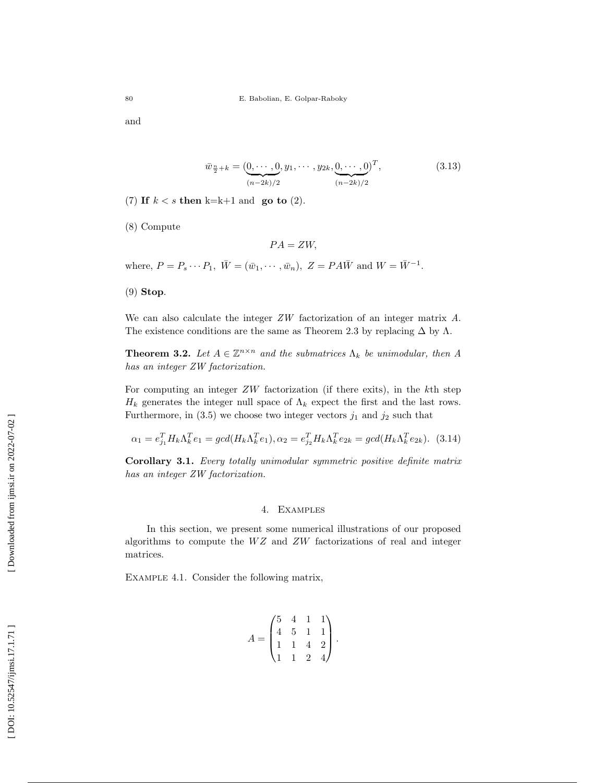and

$$
\bar{w}_{\frac{n}{2}+k} = (\underbrace{0, \cdots, 0}_{(n-2k)/2}, y_1, \cdots, y_{2k}, \underbrace{0, \cdots, 0}_{(n-2k)/2})^T, \tag{3.13}
$$

(7) If  $k < s$  then k=k+1 and go to (2).

(8) Compute

 $PA = ZW$ ,

where,  $P = P_s \cdots P_1$ ,  $\overline{W} = (\overline{w}_1, \cdots, \overline{w}_n)$ ,  $Z = PA\overline{W}$  and  $W = \overline{W}^{-1}$ .

(9) Stop .

We can also calculate the integer  $ZW$  factorization of an integer matrix A. The existence conditions are the same as Theorem 2.3 by replacing  $\Delta$  by  $\Lambda$ .

**Theorem 3.2.** Let  $A \in \mathbb{Z}^{n \times n}$  and the submatrices  $\Lambda_k$  be unimodular, then A has an integer ZW factorization.

For computing an integer ZW factorization (if there exits), in the kth step  $H_k$  generates the integer null space of  $\Lambda_k$  expect the first and the last rows. Furthermore, in  $(3.5)$  we choose two integer vectors  $j_1$  and  $j_2$  such that

$$
\alpha_1 = e_{j_1}^T H_k \Lambda_k^T e_1 = \gcd(H_k \Lambda_k^T e_1), \alpha_2 = e_{j_2}^T H_k \Lambda_k^T e_{2k} = \gcd(H_k \Lambda_k^T e_{2k}).
$$
 (3.14)

Corollary 3.1. Every totally unimodular symmetric positive definite matrix has an integer ZW factorization.

#### 4. Examples

In this section, we present some numerical illustrations of our proposed algorithms to compute the  $WZ$  and  $ZW$  factorizations of real and integer matrices.

Example 4.1 . Consider the following matrix,

$$
A = \begin{pmatrix} 5 & 4 & 1 & 1 \\ 4 & 5 & 1 & 1 \\ 1 & 1 & 4 & 2 \\ 1 & 1 & 2 & 4 \end{pmatrix}.
$$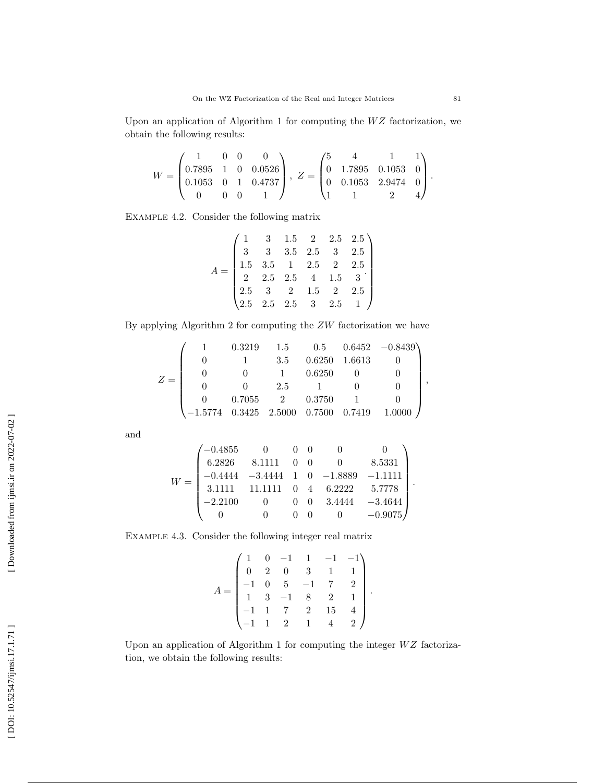Upon an application of Algorithm 1 for computing the  $WZ$  factorization, we obtain the following results:

$$
W = \begin{pmatrix} 1 & 0 & 0 & 0 \\ 0.7895 & 1 & 0 & 0.0526 \\ 0.1053 & 0 & 1 & 0.4737 \\ 0 & 0 & 0 & 1 \end{pmatrix}, Z = \begin{pmatrix} 5 & 4 & 1 & 1 \\ 0 & 1.7895 & 0.1053 & 0 \\ 0 & 0.1053 & 2.9474 & 0 \\ 1 & 1 & 2 & 4 \end{pmatrix}.
$$

Example 4.2 . Consider the following matrix

$$
A = \begin{pmatrix} 1 & 3 & 1.5 & 2 & 2.5 & 2.5 \\ 3 & 3 & 3.5 & 2.5 & 3 & 2.5 \\ 1.5 & 3.5 & 1 & 2.5 & 2 & 2.5 \\ 2 & 2.5 & 2.5 & 4 & 1.5 & 3 \\ 2.5 & 3 & 2 & 1.5 & 2 & 2.5 \\ 2.5 & 2.5 & 2.5 & 3 & 2.5 & 1 \end{pmatrix}
$$

By applying Algorithm 2 for computing the ZW factorization we have

$$
Z = \begin{pmatrix} 1 & 0.3219 & 1.5 & 0.5 & 0.6452 & -0.8439 \\ 0 & 1 & 3.5 & 0.6250 & 1.6613 & 0 \\ 0 & 0 & 1 & 0.6250 & 0 & 0 \\ 0 & 0 & 2.5 & 1 & 0 & 0 \\ 0 & 0.7055 & 2 & 0.3750 & 1 & 0 \\ -1.5774 & 0.3425 & 2.5000 & 0.7500 & 0.7419 & 1.0000 \end{pmatrix},
$$

and

$$
W = \begin{pmatrix} -0.4855 & 0 & 0 & 0 & 0 & 0 \\ 6.2826 & 8.1111 & 0 & 0 & 0 & 8.5331 \\ -0.4444 & -3.4444 & 1 & 0 & -1.8889 & -1.1111 \\ 3.1111 & 11.1111 & 0 & 4 & 6.2222 & 5.7778 \\ -2.2100 & 0 & 0 & 0 & 3.4444 & -3.4644 \\ 0 & 0 & 0 & 0 & 0 & -0.9075 \end{pmatrix}.
$$

Example 4.3 . Consider the following integer real matrix

$$
A = \begin{pmatrix} 1 & 0 & -1 & 1 & -1 & -1 \\ 0 & 2 & 0 & 3 & 1 & 1 \\ -1 & 0 & 5 & -1 & 7 & 2 \\ 1 & 3 & -1 & 8 & 2 & 1 \\ -1 & 1 & 7 & 2 & 15 & 4 \\ -1 & 1 & 2 & 1 & 4 & 2 \end{pmatrix}
$$

.

Upon an application of Algorithm 1 for computing the integer  $WZ$  factorization, we obtain the following results: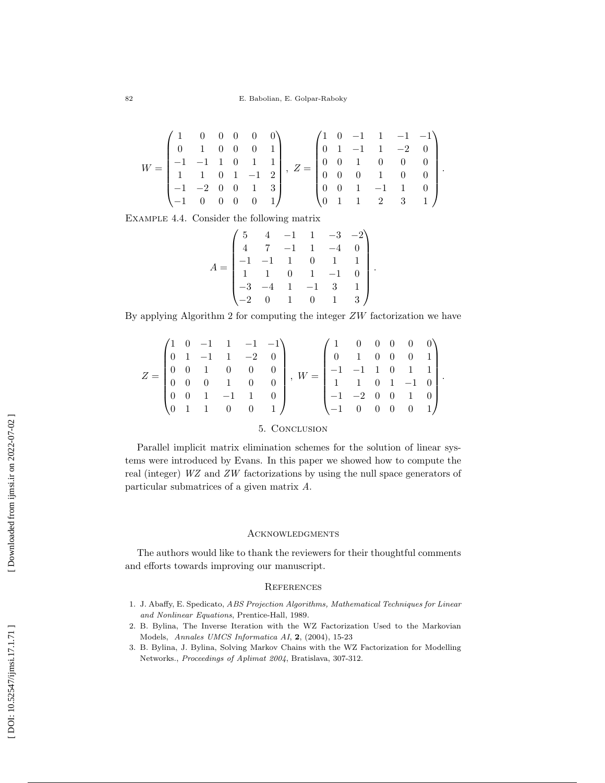$$
W = \begin{pmatrix} 1 & 0 & 0 & 0 & 0 & 0 \\ 0 & 1 & 0 & 0 & 0 & 1 \\ -1 & -1 & 1 & 0 & 1 & 1 \\ 1 & 1 & 0 & 1 & -1 & 2 \\ -1 & -2 & 0 & 0 & 1 & 3 \\ -1 & 0 & 0 & 0 & 0 & 1 \end{pmatrix}, Z = \begin{pmatrix} 1 & 0 & -1 & 1 & -1 & -1 \\ 0 & 1 & -1 & 1 & -2 & 0 \\ 0 & 0 & 1 & 0 & 0 & 0 \\ 0 & 0 & 0 & 1 & 0 & 0 \\ 0 & 0 & 1 & -1 & 1 & 0 \\ 0 & 1 & 1 & 2 & 3 & 1 \end{pmatrix}.
$$

Example 4.4 . Consider the following matrix

$$
A = \begin{pmatrix} 5 & 4 & -1 & 1 & -3 & -2 \\ 4 & 7 & -1 & 1 & -4 & 0 \\ -1 & -1 & 1 & 0 & 1 & 1 \\ 1 & 1 & 0 & 1 & -1 & 0 \\ -3 & -4 & 1 & -1 & 3 & 1 \\ -2 & 0 & 1 & 0 & 1 & 3 \end{pmatrix}.
$$

By applying Algorithm 2 for computing the integer  $ZW$  factorization we have

$$
Z = \begin{pmatrix} 1 & 0 & -1 & 1 & -1 & -1 \\ 0 & 1 & -1 & 1 & -2 & 0 \\ 0 & 0 & 1 & 0 & 0 & 0 \\ 0 & 0 & 0 & 1 & 0 & 0 \\ 0 & 0 & 1 & -1 & 1 & 0 \\ 0 & 1 & 1 & 0 & 0 & 1 \end{pmatrix}, W = \begin{pmatrix} 1 & 0 & 0 & 0 & 0 & 0 \\ 0 & 1 & 0 & 0 & 0 & 1 \\ -1 & -1 & 1 & 0 & 1 & 1 \\ 1 & 1 & 0 & 1 & -1 & 0 \\ -1 & -2 & 0 & 0 & 1 & 0 \\ -1 & 0 & 0 & 0 & 0 & 1 \end{pmatrix}.
$$

## 5. Conclusion

Parallel implicit matrix elimination schemes for the solution of linear systems were introduced by Evans. In this paper we showed how to compute the real (integer) WZ and ZW factorizations by using the null space generators of particular submatrices of a given matrix A .

### **ACKNOWLEDGMENTS**

The authors would like to thank the reviewers for their thoughtful comments and efforts towards improving our manuscript.

#### **REFERENCES**

- 1. J. Abaffy, E. Spedicato, ABS Projection Algorithms, Mathematical Techniques for Linear and Nonlinear Equations, Prentice-Hall, 1989.
- 2. B. Bylina, The Inverse Iteration with the WZ Factorization Used to the Markovian Models, Annales UMCS Informatica AI, 2, (2004), 15-23
- 3. B. Bylina, J. Bylina, Solving Markov Chains with the WZ Factorization for Modelling Networks., Proceedings of Aplimat 2004, Bratislava, 307-312.